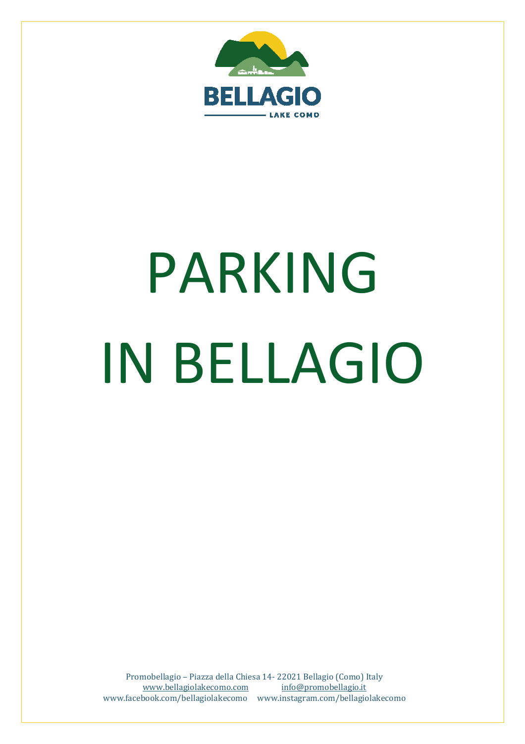

## PARKING IN BELLAGIO

Promobellagio – Piazza della Chiesa 14- 22021 Bellagio (Como) Italy www.bellagiolakecomo.com info@promobellagio.it www.facebook.com/bellagiolakecomo www.instagram.com/bellagiolakecomo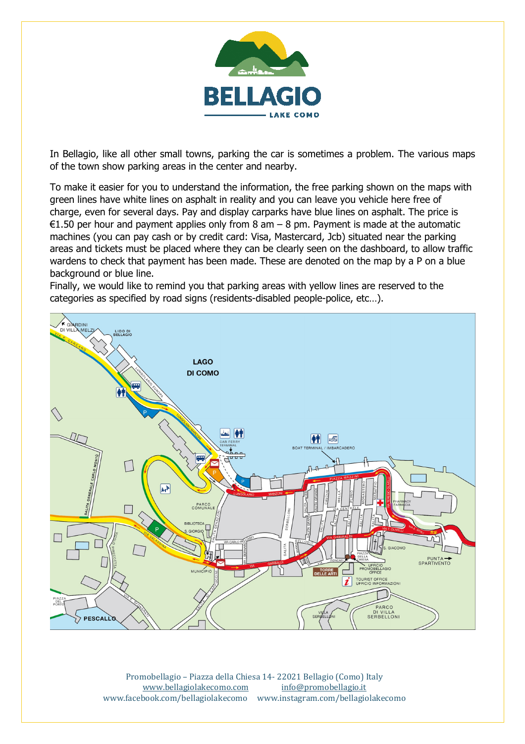

In Bellagio, like all other small towns, parking the car is sometimes a problem. The various maps of the town show parking areas in the center and nearby.

To make it easier for you to understand the information, the free parking shown on the maps with green lines have white lines on asphalt in reality and you can leave you vehicle here free of charge, even for several days. Pay and display carparks have blue lines on asphalt. The price is €1.50 per hour and payment applies only from 8 am  $-$  8 pm. Payment is made at the automatic machines (you can pay cash or by credit card: Visa, Mastercard, Jcb) situated near the parking areas and tickets must be placed where they can be clearly seen on the dashboard, to allow traffic wardens to check that payment has been made. These are denoted on the map by a P on a blue background or blue line.

Finally, we would like to remind you that parking areas with yellow lines are reserved to the categories as specified by road signs (residents-disabled people-police, etc…).



Promobellagio – Piazza della Chiesa 14- 22021 Bellagio (Como) Italy www.bellagiolakecomo.com info@promobellagio.it www.facebook.com/bellagiolakecomo www.instagram.com/bellagiolakecomo